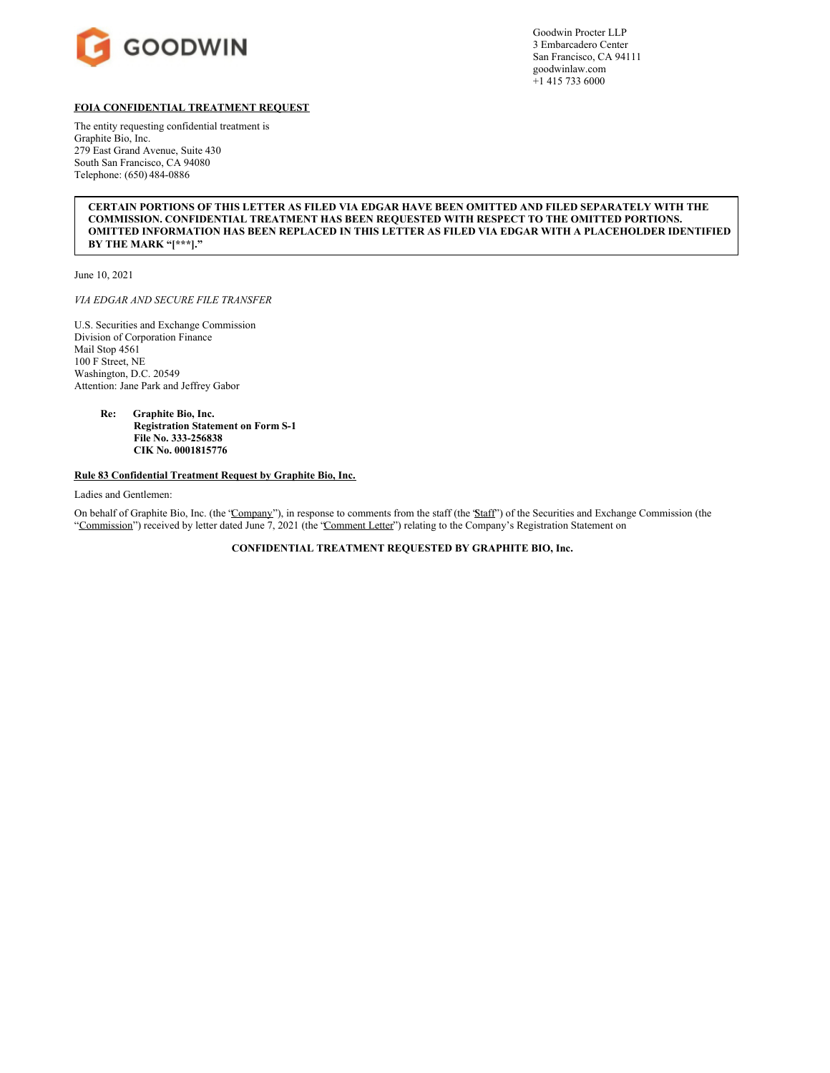

Goodwin Procter LLP 3 Embarcadero Center San Francisco, CA 94111 goodwinlaw.com +1 415 733 6000

# **FOIA CONFIDENTIAL TREATMENT REQUEST**

The entity requesting confidential treatment is Graphite Bio, Inc. 279 East Grand Avenue, Suite 430 South San Francisco, CA 94080 Telephone: (650) 484-0886

# **CERTAIN PORTIONS OF THIS LETTER AS FILED VIA EDGAR HAVE BEEN OMITTED AND FILED SEPARATELY WITH THE COMMISSION. CONFIDENTIAL TREATMENT HAS BEEN REQUESTED WITH RESPECT TO THE OMITTED PORTIONS. OMITTED INFORMATION HAS BEEN REPLACED IN THIS LETTER AS FILED VIA EDGAR WITH A PLACEHOLDER IDENTIFIED BY THE MARK "[\*\*\*]."**

June 10, 2021

*VIA EDGAR AND SECURE FILE TRANSFER*

U.S. Securities and Exchange Commission Division of Corporation Finance Mail Stop 4561 100 F Street, NE Washington, D.C. 20549 Attention: Jane Park and Jeffrey Gabor

> **Re: Graphite Bio, Inc. Registration Statement on Form S-1 File No. 333-256838 CIK No. 0001815776**

# **Rule 83 Confidential Treatment Request by Graphite Bio, Inc.**

Ladies and Gentlemen:

On behalf of Graphite Bio, Inc. (the 'Company''), in response to comments from the staff (the 'Staff') of the Securities and Exchange Commission (the "Commission") received by letter dated June 7, 2021 (the 'Comment Letter") relating to the Company's Registration Statement on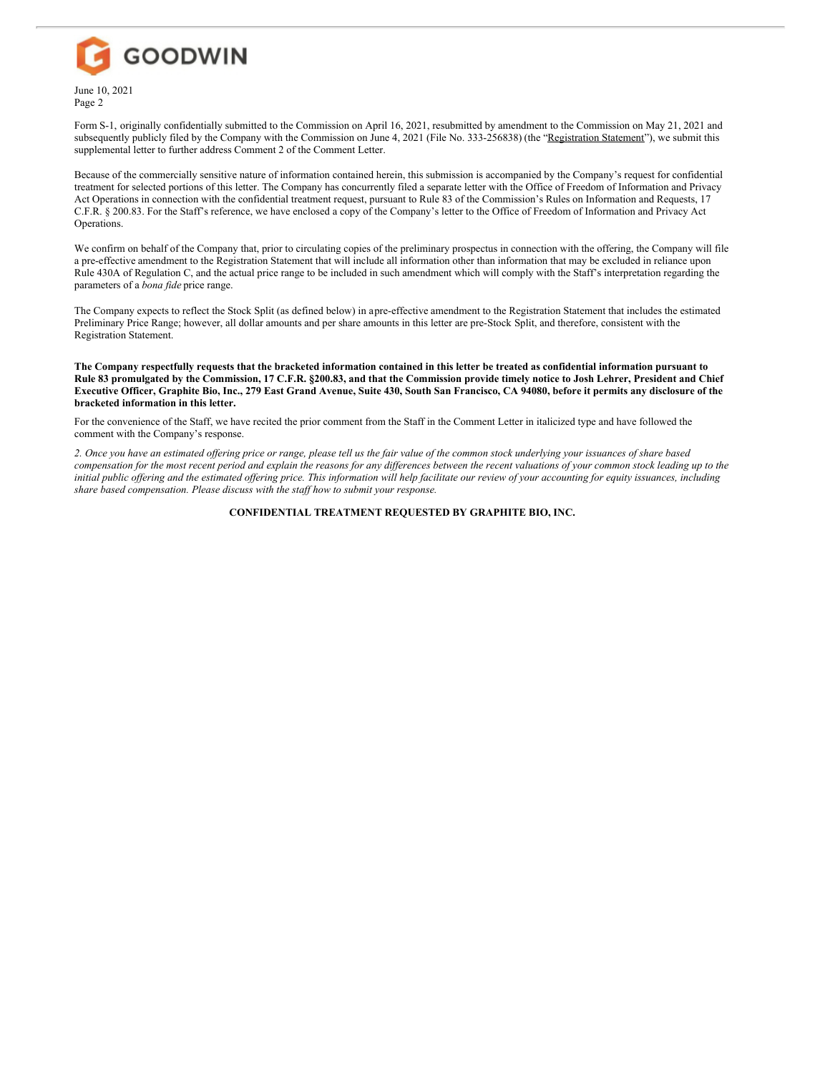

Page 2

Form S-1, originally confidentially submitted to the Commission on April 16, 2021, resubmitted by amendment to the Commission on May 21, 2021 and subsequently publicly filed by the Company with the Commission on June 4, 2021 (File No. 333-256838) (the "Registration Statement"), we submit this supplemental letter to further address Comment 2 of the Comment Letter.

Because of the commercially sensitive nature of information contained herein, this submission is accompanied by the Company's request for confidential treatment for selected portions of this letter. The Company has concurrently filed a separate letter with the Office of Freedom of Information and Privacy Act Operations in connection with the confidential treatment request, pursuant to Rule 83 of the Commission's Rules on Information and Requests, 17 C.F.R. § 200.83. For the Staff's reference, we have enclosed a copy of the Company's letter to the Office of Freedom of Information and Privacy Act Operations.

We confirm on behalf of the Company that, prior to circulating copies of the preliminary prospectus in connection with the offering, the Company will file a pre-effective amendment to the Registration Statement that will include all information other than information that may be excluded in reliance upon Rule 430A of Regulation C, and the actual price range to be included in such amendment which will comply with the Staff's interpretation regarding the parameters of a *bona fide* price range.

The Company expects to reflect the Stock Split (as defined below) in apre-effective amendment to the Registration Statement that includes the estimated Preliminary Price Range; however, all dollar amounts and per share amounts in this letter are pre-Stock Split, and therefore, consistent with the Registration Statement.

The Company respectfully requests that the bracketed information contained in this letter be treated as confidential information pursuant to Rule 83 promulgated by the Commission, 17 C.F.R. §200.83, and that the Commission provide timely notice to Josh Lehrer, President and Chief Executive Officer, Graphite Bio, Inc., 279 East Grand Avenue, Suite 430, South San Francisco, CA 94080, before it permits any disclosure of the **bracketed information in this letter.**

For the convenience of the Staff, we have recited the prior comment from the Staff in the Comment Letter in italicized type and have followed the comment with the Company's response.

2. Once you have an estimated offering price or range, please tell us the fair value of the common stock underlying your issuances of share based compensation for the most recent period and explain the reasons for any differences between the recent valuations of your common stock leading up to the initial public offering and the estimated offering price. This information will help facilitate our review of your accounting for equity issuances, including *share based compensation. Please discuss with the staf how to submit your response.*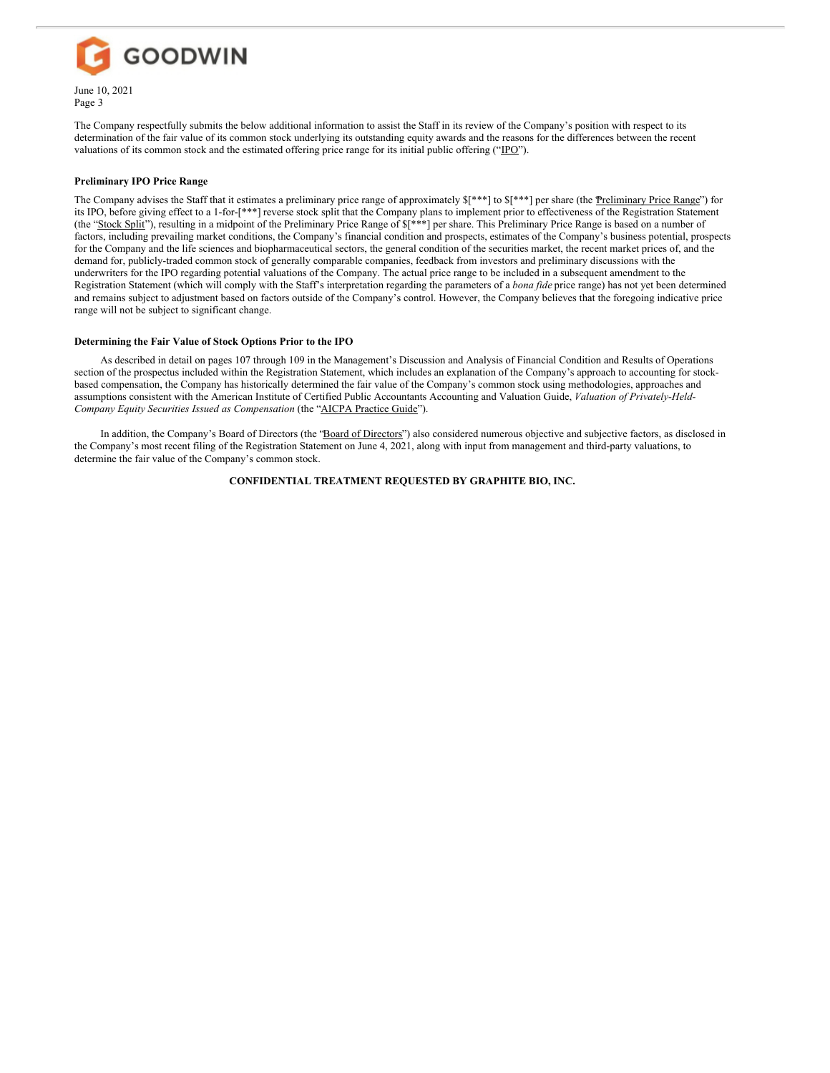

The Company respectfully submits the below additional information to assist the Staff in its review of the Company's position with respect to its determination of the fair value of its common stock underlying its outstanding equity awards and the reasons for the differences between the recent valuations of its common stock and the estimated offering price range for its initial public offering ("IPO").

## **Preliminary IPO Price Range**

The Company advises the Staff that it estimates a preliminary price range of approximately  $\frac{1}{2}$ <sup>\*\*</sup>] to  $\frac{1}{2}$ <sup>\*\*</sup>] per share (the  $\frac{1}{2}$ Price Range") for its IPO, before giving effect to a 1-for-[\*\*\*] reverse stock split that the Company plans to implement prior to effectiveness of the Registration Statement (the "Stock Split"), resulting in a midpoint of the Preliminary Price Range of  $\frac{s}{s}$  per share. This Preliminary Price Range is based on a number of factors, including prevailing market conditions, the Company's financial condition and prospects, estimates of the Company's business potential, prospects for the Company and the life sciences and biopharmaceutical sectors, the general condition of the securities market, the recent market prices of, and the demand for, publicly-traded common stock of generally comparable companies, feedback from investors and preliminary discussions with the underwriters for the IPO regarding potential valuations of the Company. The actual price range to be included in a subsequent amendment to the Registration Statement (which will comply with the Staff's interpretation regarding the parameters of a *bona fide* price range) has not yet been determined and remains subject to adjustment based on factors outside of the Company's control. However, the Company believes that the foregoing indicative price range will not be subject to significant change.

# **Determining the Fair Value of Stock Options Prior to the IPO**

As described in detail on pages 107 through 109 in the Management's Discussion and Analysis of Financial Condition and Results of Operations section of the prospectus included within the Registration Statement, which includes an explanation of the Company's approach to accounting for stockbased compensation, the Company has historically determined the fair value of the Company's common stock using methodologies, approaches and assumptions consistent with the American Institute of Certified Public Accountants Accounting and Valuation Guide, *Valuation of Privately-Held-Company Equity Securities Issued as Compensation* (the "AICPA Practice Guide").

In addition, the Company's Board of Directors (the "Board of Directors") also considered numerous objective and subjective factors, as disclosed in the Company's most recent filing of the Registration Statement on June 4, 2021, along with input from management and third-party valuations, to determine the fair value of the Company's common stock.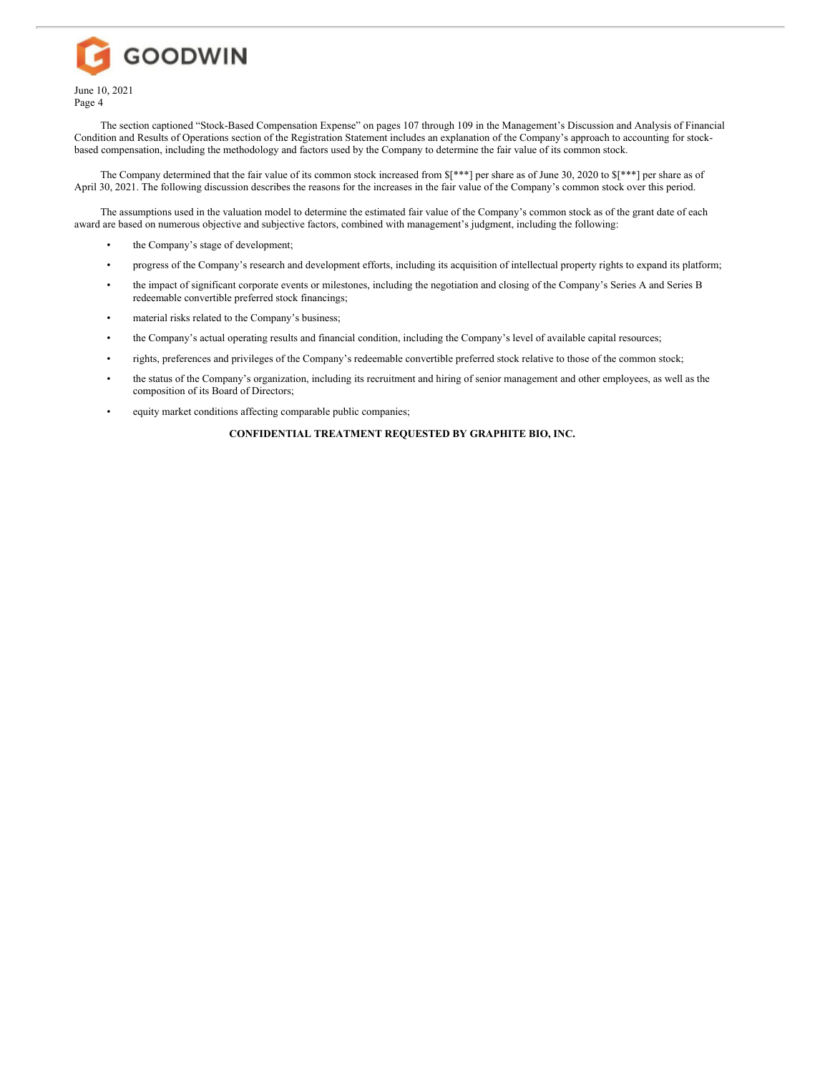

The section captioned "Stock-Based Compensation Expense" on pages 107 through 109 in the Management's Discussion and Analysis of Financial Condition and Results of Operations section of the Registration Statement includes an explanation of the Company's approach to accounting for stockbased compensation, including the methodology and factors used by the Company to determine the fair value of its common stock.

The Company determined that the fair value of its common stock increased from \$[\*\*\*] per share as of June 30, 2020 to \$[\*\*\*] per share as of April 30, 2021. The following discussion describes the reasons for the increases in the fair value of the Company's common stock over this period.

The assumptions used in the valuation model to determine the estimated fair value of the Company's common stock as of the grant date of each award are based on numerous objective and subjective factors, combined with management's judgment, including the following:

- the Company's stage of development;
- progress of the Company's research and development efforts, including its acquisition of intellectual property rights to expand its platform;
- the impact of significant corporate events or milestones, including the negotiation and closing of the Company's Series A and Series B redeemable convertible preferred stock financings;
- material risks related to the Company's business;
- the Company's actual operating results and financial condition, including the Company's level of available capital resources;
- rights, preferences and privileges of the Company's redeemable convertible preferred stock relative to those of the common stock;
- the status of the Company's organization, including its recruitment and hiring of senior management and other employees, as well as the composition of its Board of Directors;
- equity market conditions affecting comparable public companies;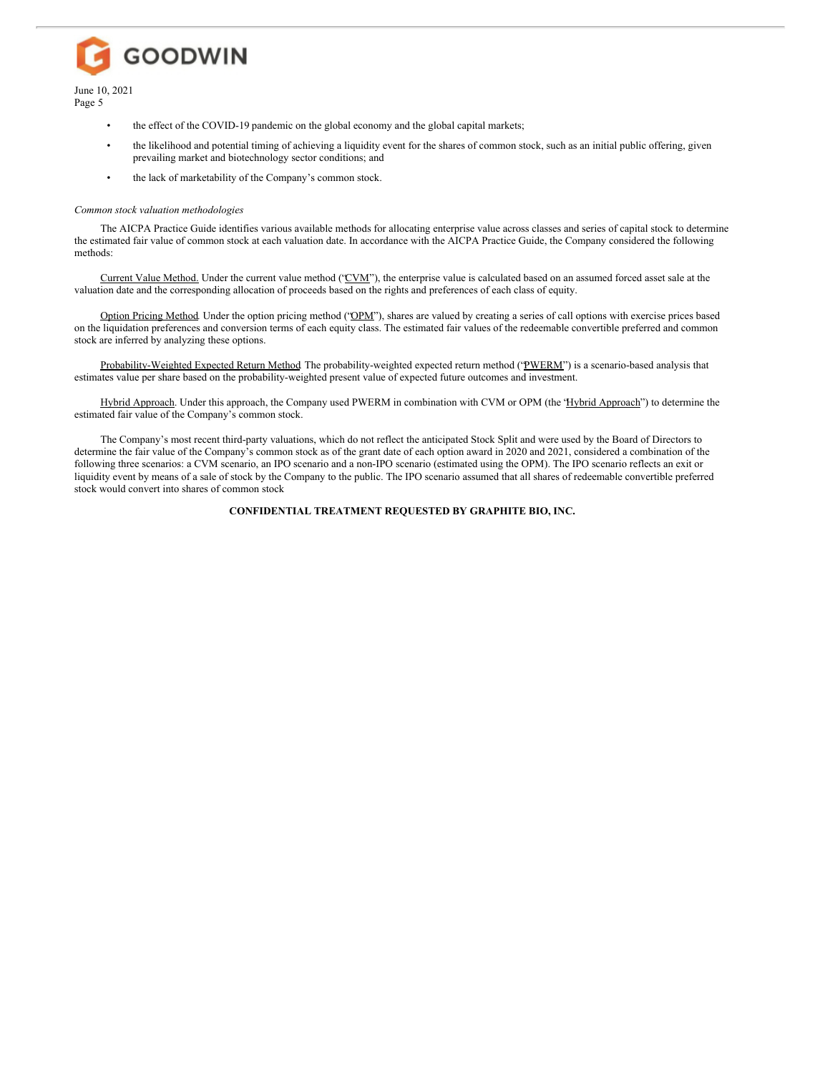June 10, 2021 Page 5

- the effect of the COVID-19 pandemic on the global economy and the global capital markets;
- the likelihood and potential timing of achieving a liquidity event for the shares of common stock, such as an initial public offering, given prevailing market and biotechnology sector conditions; and
- the lack of marketability of the Company's common stock.

#### *Common stock valuation methodologies*

**GOODWIN** 

The AICPA Practice Guide identifies various available methods for allocating enterprise value across classes and series of capital stock to determine the estimated fair value of common stock at each valuation date. In accordance with the AICPA Practice Guide, the Company considered the following methods:

Current Value Method. Under the current value method ('CVM'), the enterprise value is calculated based on an assumed forced asset sale at the valuation date and the corresponding allocation of proceeds based on the rights and preferences of each class of equity.

Option Pricing Method*.* Under the option pricing method ("OPM"), shares are valued by creating a series of call options with exercise prices based on the liquidation preferences and conversion terms of each equity class. The estimated fair values of the redeemable convertible preferred and common stock are inferred by analyzing these options.

Probability-Weighted Expected Return Method The probability-weighted expected return method ('PWERM') is a scenario-based analysis that estimates value per share based on the probability-weighted present value of expected future outcomes and investment.

Hybrid Approach. Under this approach, the Company used PWERM in combination with CVM or OPM (the 'Hybrid Approach'') to determine the estimated fair value of the Company's common stock.

The Company's most recent third-party valuations, which do not reflect the anticipated Stock Split and were used by the Board of Directors to determine the fair value of the Company's common stock as of the grant date of each option award in 2020 and 2021, considered a combination of the following three scenarios: a CVM scenario, an IPO scenario and a non-IPO scenario (estimated using the OPM). The IPO scenario reflects an exit or liquidity event by means of a sale of stock by the Company to the public. The IPO scenario assumed that all shares of redeemable convertible preferred stock would convert into shares of common stock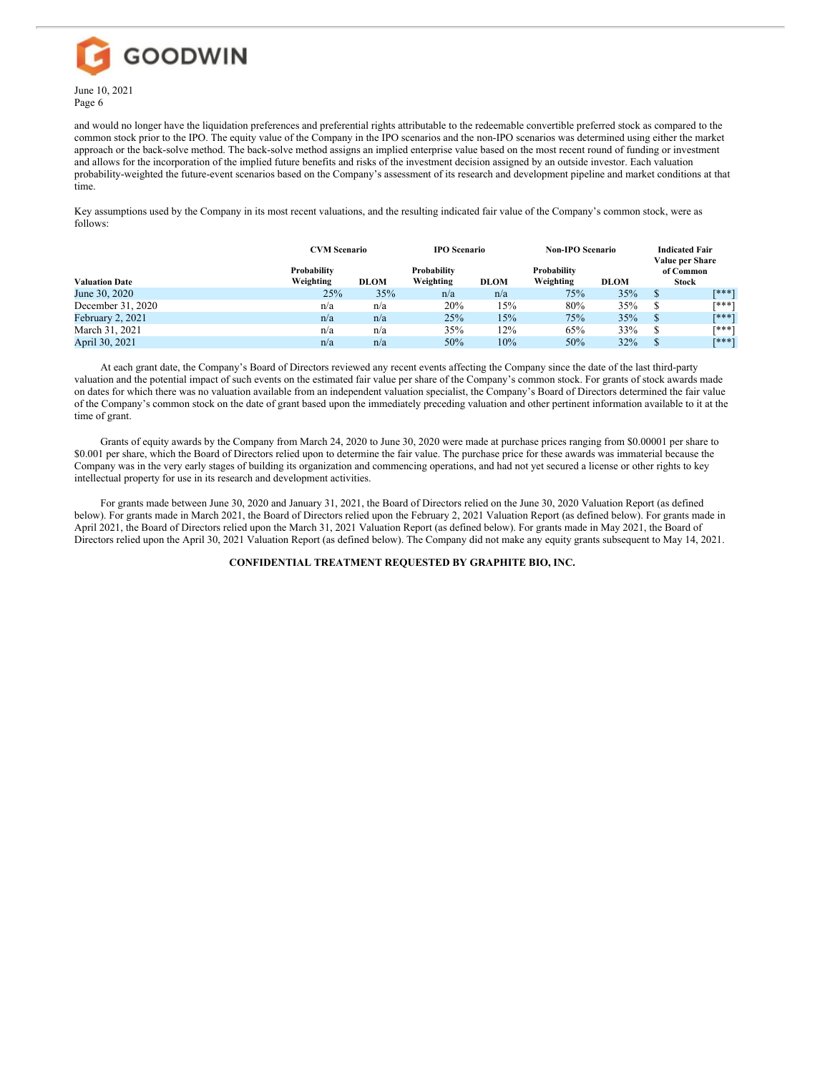

and would no longer have the liquidation preferences and preferential rights attributable to the redeemable convertible preferred stock as compared to the common stock prior to the IPO. The equity value of the Company in the IPO scenarios and the non-IPO scenarios was determined using either the market approach or the back-solve method. The back-solve method assigns an implied enterprise value based on the most recent round of funding or investment and allows for the incorporation of the implied future benefits and risks of the investment decision assigned by an outside investor. Each valuation probability-weighted the future-event scenarios based on the Company's assessment of its research and development pipeline and market conditions at that time.

Key assumptions used by the Company in its most recent valuations, and the resulting indicated fair value of the Company's common stock, were as follows:

|                       | <b>CVM Scenario</b><br>Probability |             | <b>IPO Scenario</b><br>Probability |             | <b>Non-IPO Scenario</b><br>Probability |             | <b>Indicated Fair</b><br>Value per Share<br>of Common |              |
|-----------------------|------------------------------------|-------------|------------------------------------|-------------|----------------------------------------|-------------|-------------------------------------------------------|--------------|
| <b>Valuation Date</b> | Weighting                          | <b>DLOM</b> | Weighting                          | <b>DLOM</b> | Weighting                              | <b>DLOM</b> |                                                       | <b>Stock</b> |
| June 30, 2020         | 25%                                | 35%         | n/a                                | n/a         | 75%                                    | 35%         | S                                                     | <b>F***1</b> |
| December 31, 2020     | n/a                                | n/a         | 20%                                | 15%         | 80%                                    | 35%         | S                                                     | [***]        |
| February 2, 2021      | n/a                                | n/a         | 25%                                | 15%         | 75%                                    | 35%         | S                                                     | <b>F***1</b> |
| March 31, 2021        | n/a                                | n/a         | 35%                                | 12%         | 65%                                    | 33%         | S                                                     | <b>F***1</b> |
| April 30, 2021        | n/a                                | n/a         | 50%                                | 10%         | 50%                                    | 32%         |                                                       | <b>「***1</b> |

At each grant date, the Company's Board of Directors reviewed any recent events affecting the Company since the date of the last third-party valuation and the potential impact of such events on the estimated fair value per share of the Company's common stock. For grants of stock awards made on dates for which there was no valuation available from an independent valuation specialist, the Company's Board of Directors determined the fair value of the Company's common stock on the date of grant based upon the immediately preceding valuation and other pertinent information available to it at the time of grant.

Grants of equity awards by the Company from March 24, 2020 to June 30, 2020 were made at purchase prices ranging from \$0.00001 per share to \$0.001 per share, which the Board of Directors relied upon to determine the fair value. The purchase price for these awards was immaterial because the Company was in the very early stages of building its organization and commencing operations, and had not yet secured a license or other rights to key intellectual property for use in its research and development activities.

For grants made between June 30, 2020 and January 31, 2021, the Board of Directors relied on the June 30, 2020 Valuation Report (as defined below). For grants made in March 2021, the Board of Directors relied upon the February 2, 2021 Valuation Report (as defined below). For grants made in April 2021, the Board of Directors relied upon the March 31, 2021 Valuation Report (as defined below). For grants made in May 2021, the Board of Directors relied upon the April 30, 2021 Valuation Report (as defined below). The Company did not make any equity grants subsequent to May 14, 2021.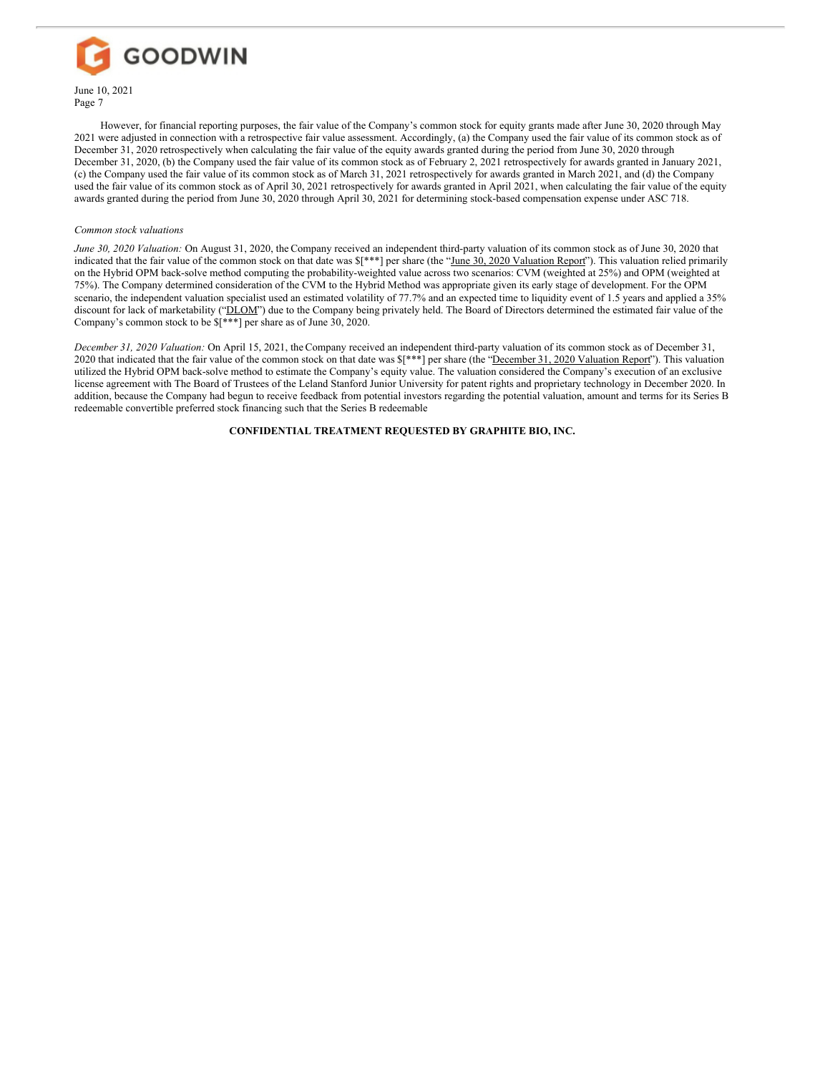

However, for financial reporting purposes, the fair value of the Company's common stock for equity grants made after June 30, 2020 through May 2021 were adjusted in connection with a retrospective fair value assessment. Accordingly, (a) the Company used the fair value of its common stock as of December 31, 2020 retrospectively when calculating the fair value of the equity awards granted during the period from June 30, 2020 through December 31, 2020, (b) the Company used the fair value of its common stock as of February 2, 2021 retrospectively for awards granted in January 2021, (c) the Company used the fair value of its common stock as of March 31, 2021 retrospectively for awards granted in March 2021, and (d) the Company used the fair value of its common stock as of April 30, 2021 retrospectively for awards granted in April 2021, when calculating the fair value of the equity awards granted during the period from June 30, 2020 through April 30, 2021 for determining stock-based compensation expense under ASC 718.

#### *Common stock valuations*

*June 30, 2020 Valuation:* On August 31, 2020, the Company received an independent third-party valuation of its common stock as of June 30, 2020 that indicated that the fair value of the common stock on that date was  $f^{***}$ ] per share (the "June 30, 2020 Valuation Report"). This valuation relied primarily on the Hybrid OPM back-solve method computing the probability-weighted value across two scenarios: CVM (weighted at 25%) and OPM (weighted at 75%). The Company determined consideration of the CVM to the Hybrid Method was appropriate given its early stage of development. For the OPM scenario, the independent valuation specialist used an estimated volatility of 77.7% and an expected time to liquidity event of 1.5 years and applied a 35% discount for lack of marketability ("DLOM") due to the Company being privately held. The Board of Directors determined the estimated fair value of the Company's common stock to be \$[\*\*\*] per share as of June 30, 2020.

*December 31, 2020 Valuation:* On April 15, 2021, the Company received an independent third-party valuation of its common stock as of December 31, 2020 that indicated that the fair value of the common stock on that date was  $\frac{1 \cdot x^*}{x}$  per share (the "December 31, 2020 Valuation Report"). This valuation utilized the Hybrid OPM back-solve method to estimate the Company's equity value. The valuation considered the Company's execution of an exclusive license agreement with The Board of Trustees of the Leland Stanford Junior University for patent rights and proprietary technology in December 2020. In addition, because the Company had begun to receive feedback from potential investors regarding the potential valuation, amount and terms for its Series B redeemable convertible preferred stock financing such that the Series B redeemable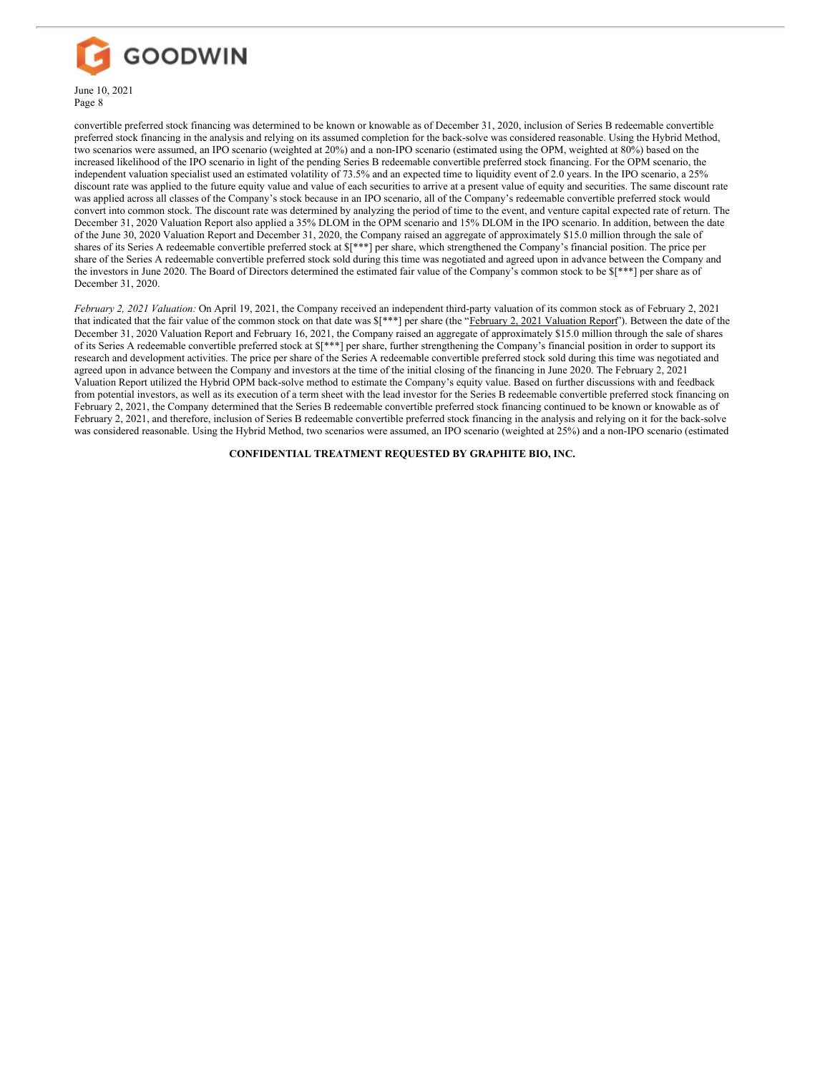

convertible preferred stock financing was determined to be known or knowable as of December 31, 2020, inclusion of Series B redeemable convertible preferred stock financing in the analysis and relying on its assumed completion for the back-solve was considered reasonable. Using the Hybrid Method, two scenarios were assumed, an IPO scenario (weighted at 20%) and a non-IPO scenario (estimated using the OPM, weighted at 80%) based on the increased likelihood of the IPO scenario in light of the pending Series B redeemable convertible preferred stock financing. For the OPM scenario, the independent valuation specialist used an estimated volatility of 73.5% and an expected time to liquidity event of 2.0 years. In the IPO scenario, a 25% discount rate was applied to the future equity value and value of each securities to arrive at a present value of equity and securities. The same discount rate was applied across all classes of the Company's stock because in an IPO scenario, all of the Company's redeemable convertible preferred stock would convert into common stock. The discount rate was determined by analyzing the period of time to the event, and venture capital expected rate of return. The December 31, 2020 Valuation Report also applied a 35% DLOM in the OPM scenario and 15% DLOM in the IPO scenario. In addition, between the date of the June 30, 2020 Valuation Report and December 31, 2020, the Company raised an aggregate of approximately \$15.0 million through the sale of shares of its Series A redeemable convertible preferred stock at \$[\*\*\*] per share, which strengthened the Company's financial position. The price per share of the Series A redeemable convertible preferred stock sold during this time was negotiated and agreed upon in advance between the Company and the investors in June 2020. The Board of Directors determined the estimated fair value of the Company's common stock to be \$[\*\*\*] per share as of December 31, 2020.

*February 2, 2021 Valuation:* On April 19, 2021, the Company received an independent third-party valuation of its common stock as of February 2, 2021 that indicated that the fair value of the common stock on that date was  $\frac{\ast \ast}{2}$  per share (the "February 2, 2021 Valuation Report"). Between the date of the December 31, 2020 Valuation Report and February 16, 2021, the Company raised an aggregate of approximately \$15.0 million through the sale of shares of its Series A redeemable convertible preferred stock at \$[\*\*\*] per share, further strengthening the Company's financial position in order to support its research and development activities. The price per share of the Series A redeemable convertible preferred stock sold during this time was negotiated and agreed upon in advance between the Company and investors at the time of the initial closing of the financing in June 2020. The February 2, 2021 Valuation Report utilized the Hybrid OPM back-solve method to estimate the Company's equity value. Based on further discussions with and feedback from potential investors, as well as its execution of a term sheet with the lead investor for the Series B redeemable convertible preferred stock financing on February 2, 2021, the Company determined that the Series B redeemable convertible preferred stock financing continued to be known or knowable as of February 2, 2021, and therefore, inclusion of Series B redeemable convertible preferred stock financing in the analysis and relying on it for the back-solve was considered reasonable. Using the Hybrid Method, two scenarios were assumed, an IPO scenario (weighted at 25%) and a non-IPO scenario (estimated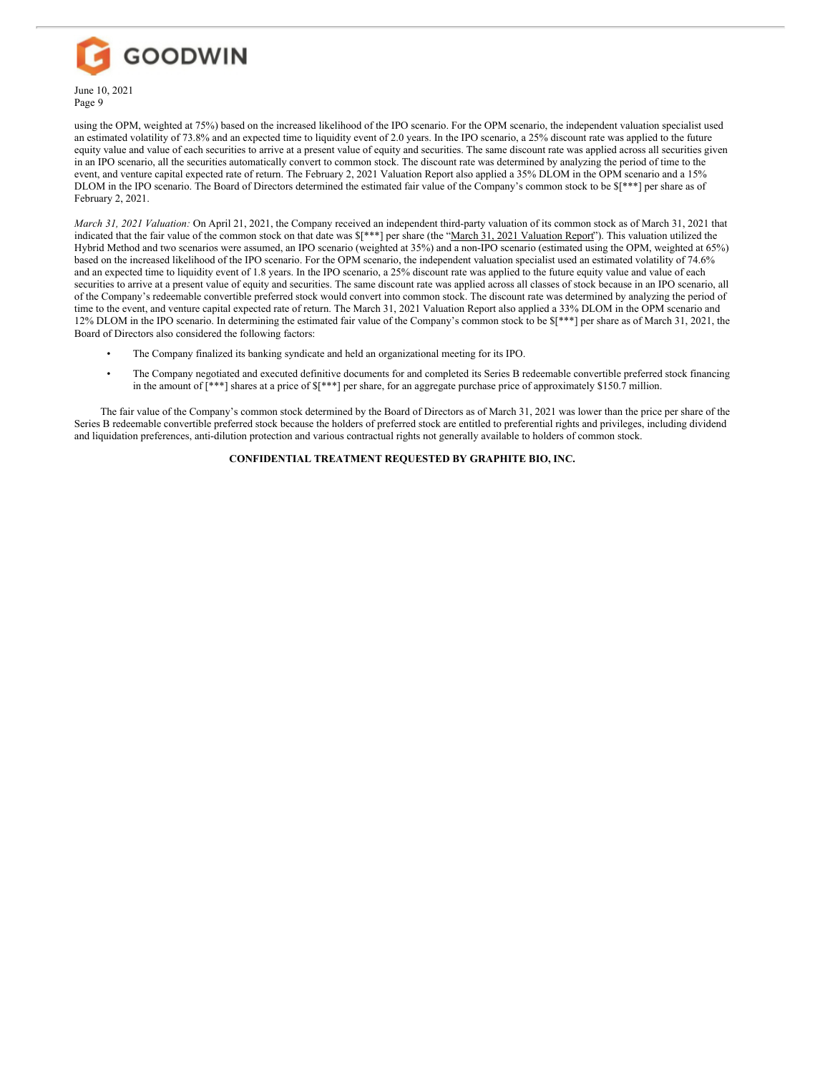

using the OPM, weighted at 75%) based on the increased likelihood of the IPO scenario. For the OPM scenario, the independent valuation specialist used an estimated volatility of 73.8% and an expected time to liquidity event of 2.0 years. In the IPO scenario, a 25% discount rate was applied to the future equity value and value of each securities to arrive at a present value of equity and securities. The same discount rate was applied across all securities given in an IPO scenario, all the securities automatically convert to common stock. The discount rate was determined by analyzing the period of time to the event, and venture capital expected rate of return. The February 2, 2021 Valuation Report also applied a 35% DLOM in the OPM scenario and a 15% DLOM in the IPO scenario. The Board of Directors determined the estimated fair value of the Company's common stock to be  $\{$ \}\*\*\*] per share as of February 2, 2021.

*March 31, 2021 Valuation:* On April 21, 2021, the Company received an independent third-party valuation of its common stock as of March 31, 2021 that indicated that the fair value of the common stock on that date was  $[$  \*\*] per share (the "March 31, 2021 Valuation Report"). This valuation utilized the Hybrid Method and two scenarios were assumed, an IPO scenario (weighted at 35%) and a non-IPO scenario (estimated using the OPM, weighted at 65%) based on the increased likelihood of the IPO scenario. For the OPM scenario, the independent valuation specialist used an estimated volatility of 74.6% and an expected time to liquidity event of 1.8 years. In the IPO scenario, a 25% discount rate was applied to the future equity value and value of each securities to arrive at a present value of equity and securities. The same discount rate was applied across all classes of stock because in an IPO scenario, all of the Company's redeemable convertible preferred stock would convert into common stock. The discount rate was determined by analyzing the period of time to the event, and venture capital expected rate of return. The March 31, 2021 Valuation Report also applied a 33% DLOM in the OPM scenario and 12% DLOM in the IPO scenario. In determining the estimated fair value of the Company's common stock to be \$[\*\*\*] per share as of March 31, 2021, the Board of Directors also considered the following factors:

- The Company finalized its banking syndicate and held an organizational meeting for its IPO.
- The Company negotiated and executed definitive documents for and completed its Series B redeemable convertible preferred stock financing in the amount of  $[***]$  shares at a price of  $[***]$  per share, for an aggregate purchase price of approximately \$150.7 million.

The fair value of the Company's common stock determined by the Board of Directors as of March 31, 2021 was lower than the price per share of the Series B redeemable convertible preferred stock because the holders of preferred stock are entitled to preferential rights and privileges, including dividend and liquidation preferences, anti-dilution protection and various contractual rights not generally available to holders of common stock.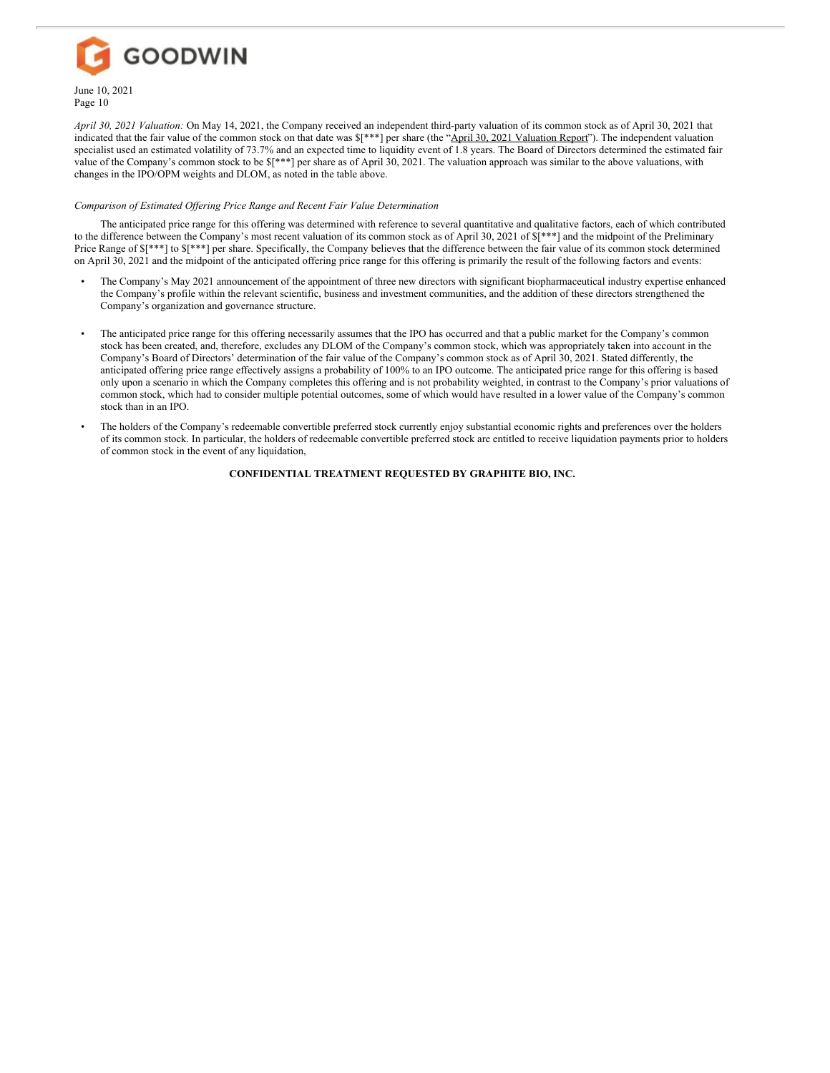

*April 30, 2021 Valuation:* On May 14, 2021, the Company received an independent third-party valuation of its common stock as of April 30, 2021 that indicated that the fair value of the common stock on that date was  $\frac{**}{}$  per share (the "April 30, 2021 Valuation Report"). The independent valuation specialist used an estimated volatility of 73.7% and an expected time to liquidity event of 1.8 years. The Board of Directors determined the estimated fair value of the Company's common stock to be \$[\*\*\*] per share as of April 30, 2021. The valuation approach was similar to the above valuations, with changes in the IPO/OPM weights and DLOM, as noted in the table above.

## *Comparison of Estimated Of ering Price Range and Recent Fair Value Determination*

The anticipated price range for this offering was determined with reference to several quantitative and qualitative factors, each of which contributed to the difference between the Company's most recent valuation of its common stock as of April 30, 2021 of  $\frac{1}{5}$ [\*\*\*] and the midpoint of the Preliminary Price Range of  $\S[***]$  to  $\S[***]$  per share. Specifically, the Company believes that the difference between the fair value of its common stock determined on April 30, 2021 and the midpoint of the anticipated offering price range for this offering is primarily the result of the following factors and events:

- The Company's May 2021 announcement of the appointment of three new directors with significant biopharmaceutical industry expertise enhanced the Company's profile within the relevant scientific, business and investment communities, and the addition of these directors strengthened the Company's organization and governance structure.
- The anticipated price range for this offering necessarily assumes that the IPO has occurred and that a public market for the Company's common stock has been created, and, therefore, excludes any DLOM of the Company's common stock, which was appropriately taken into account in the Company's Board of Directors' determination of the fair value of the Company's common stock as of April 30, 2021. Stated differently, the anticipated offering price range effectively assigns a probability of 100% to an IPO outcome. The anticipated price range for this offering is based only upon a scenario in which the Company completes this offering and is not probability weighted, in contrast to the Company's prior valuations of common stock, which had to consider multiple potential outcomes, some of which would have resulted in a lower value of the Company's common stock than in an IPO.
- The holders of the Company's redeemable convertible preferred stock currently enjoy substantial economic rights and preferences over the holders of its common stock. In particular, the holders of redeemable convertible preferred stock are entitled to receive liquidation payments prior to holders of common stock in the event of any liquidation,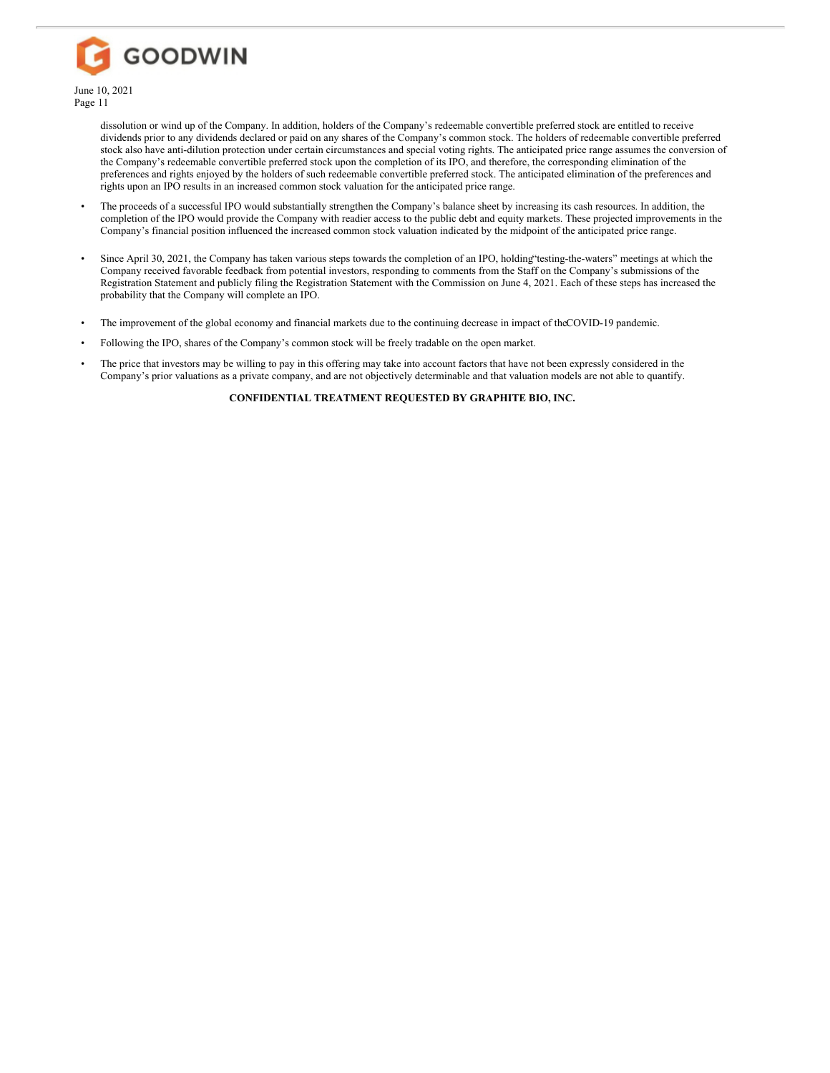

dissolution or wind up of the Company. In addition, holders of the Company's redeemable convertible preferred stock are entitled to receive dividends prior to any dividends declared or paid on any shares of the Company's common stock. The holders of redeemable convertible preferred stock also have anti-dilution protection under certain circumstances and special voting rights. The anticipated price range assumes the conversion of the Company's redeemable convertible preferred stock upon the completion of its IPO, and therefore, the corresponding elimination of the preferences and rights enjoyed by the holders of such redeemable convertible preferred stock. The anticipated elimination of the preferences and rights upon an IPO results in an increased common stock valuation for the anticipated price range.

- The proceeds of a successful IPO would substantially strengthen the Company's balance sheet by increasing its cash resources. In addition, the completion of the IPO would provide the Company with readier access to the public debt and equity markets. These projected improvements in the Company's financial position influenced the increased common stock valuation indicated by the midpoint of the anticipated price range.
- Since April 30, 2021, the Company has taken various steps towards the completion of an IPO, holding"testing-the-waters" meetings at which the Company received favorable feedback from potential investors, responding to comments from the Staff on the Company's submissions of the Registration Statement and publicly filing the Registration Statement with the Commission on June 4, 2021. Each of these steps has increased the probability that the Company will complete an IPO.
- The improvement of the global economy and financial markets due to the continuing decrease in impact of theCOVID-19 pandemic.
- Following the IPO, shares of the Company's common stock will be freely tradable on the open market.
- The price that investors may be willing to pay in this offering may take into account factors that have not been expressly considered in the Company's prior valuations as a private company, and are not objectively determinable and that valuation models are not able to quantify.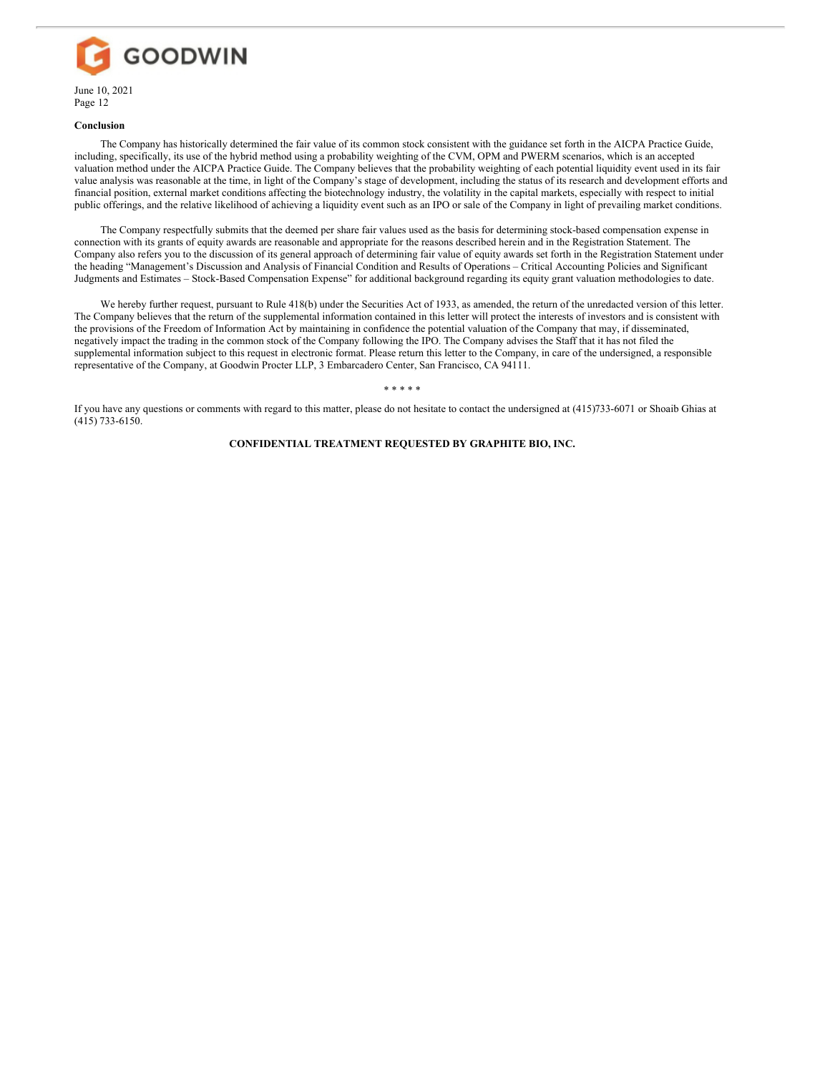

## **Conclusion**

The Company has historically determined the fair value of its common stock consistent with the guidance set forth in the AICPA Practice Guide, including, specifically, its use of the hybrid method using a probability weighting of the CVM, OPM and PWERM scenarios, which is an accepted valuation method under the AICPA Practice Guide. The Company believes that the probability weighting of each potential liquidity event used in its fair value analysis was reasonable at the time, in light of the Company's stage of development, including the status of its research and development efforts and financial position, external market conditions affecting the biotechnology industry, the volatility in the capital markets, especially with respect to initial public offerings, and the relative likelihood of achieving a liquidity event such as an IPO or sale of the Company in light of prevailing market conditions.

The Company respectfully submits that the deemed per share fair values used as the basis for determining stock-based compensation expense in connection with its grants of equity awards are reasonable and appropriate for the reasons described herein and in the Registration Statement. The Company also refers you to the discussion of its general approach of determining fair value of equity awards set forth in the Registration Statement under the heading "Management's Discussion and Analysis of Financial Condition and Results of Operations – Critical Accounting Policies and Significant Judgments and Estimates – Stock-Based Compensation Expense" for additional background regarding its equity grant valuation methodologies to date.

We hereby further request, pursuant to Rule 418(b) under the Securities Act of 1933, as amended, the return of the unredacted version of this letter. The Company believes that the return of the supplemental information contained in this letter will protect the interests of investors and is consistent with the provisions of the Freedom of Information Act by maintaining in confidence the potential valuation of the Company that may, if disseminated, negatively impact the trading in the common stock of the Company following the IPO. The Company advises the Staff that it has not filed the supplemental information subject to this request in electronic format. Please return this letter to the Company, in care of the undersigned, a responsible representative of the Company, at Goodwin Procter LLP, 3 Embarcadero Center, San Francisco, CA 94111.

\* \* \* \* \*

If you have any questions or comments with regard to this matter, please do not hesitate to contact the undersigned at (415)733-6071 or Shoaib Ghias at (415) 733-6150.